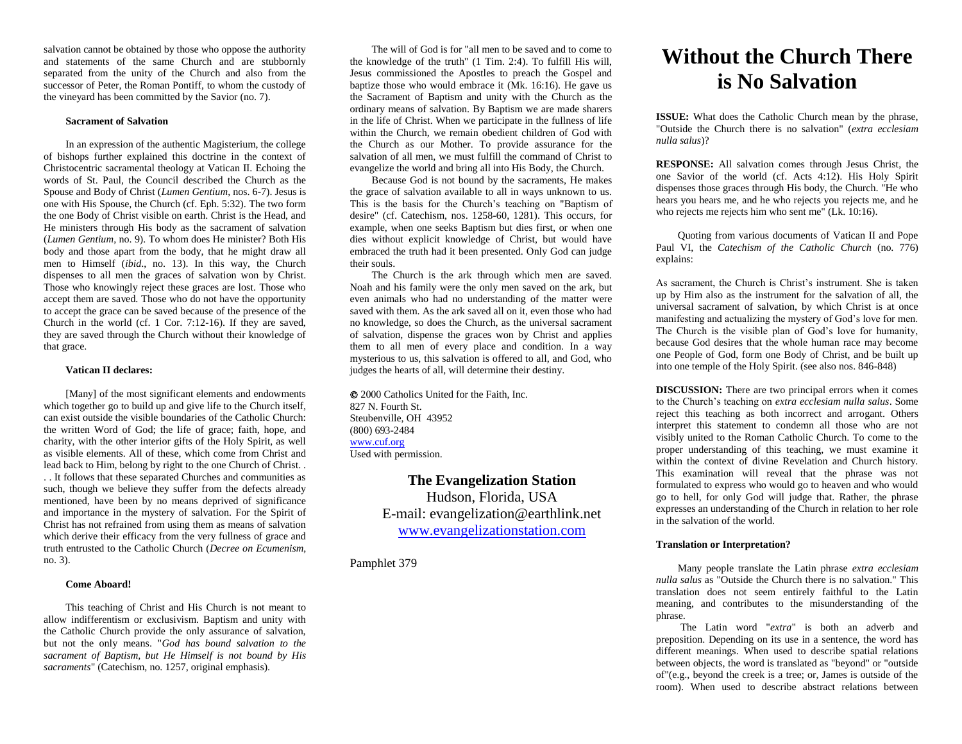salvation cannot be obtained by those who oppose the authority and statements of the same Church and are stubbornly separated from the unity of the Church and also from the successor of Peter, the Roman Pontiff, to whom the custody of the vineyard has been committed by the Savior (no. 7).

## **Sacrament of Salvation**

In an expression of the authentic Magisterium, the college of bishops further explained this doctrine in the context of Christocentric sacramental theology at Vatican II. Echoing the words of St. Paul, the Council described the Church as the Spouse and Body of Christ (*Lumen Gentium*, nos. 6-7). Jesus is one with His Spouse, the Church (cf. Eph. 5:32). The two form the one Body of Christ visible on earth. Christ is the Head, and He ministers through His body as the sacrament of salvation (*Lumen Gentium*, no. 9). To whom does He minister? Both His body and those apart from the body, that he might draw all men to Himself (*ibid*., no. 13). In this way, the Church dispenses to all men the graces of salvation won by Christ. Those who knowingly reject these graces are lost. Those who accept them are saved. Those who do not have the opportunity to accept the grace can be saved because of the presence of the Church in the world (cf. 1 Cor. 7:12-16). If they are saved, they are saved through the Church without their knowledge of that grace.

#### **Vatican II declares:**

[Many] of the most significant elements and endowments which together go to build up and give life to the Church itself, can exist outside the visible boundaries of the Catholic Church: the written Word of God; the life of grace; faith, hope, and charity, with the other interior gifts of the Holy Spirit, as well as visible elements. All of these, which come from Christ and lead back to Him, belong by right to the one Church of Christ. . . . It follows that these separated Churches and communities as such, though we believe they suffer from the defects already mentioned, have been by no means deprived of significance and importance in the mystery of salvation. For the Spirit of Christ has not refrained from using them as means of salvation which derive their efficacy from the very fullness of grace and truth entrusted to the Catholic Church (*Decree on Ecumenism*, no. 3).

## **Come Aboard!**

This teaching of Christ and His Church is not meant to allow indifferentism or exclusivism. Baptism and unity with the Catholic Church provide the only assurance of salvation, but not the only means. "*God has bound salvation to the sacrament of Baptism, but He Himself is not bound by His sacraments*" (Catechism, no. 1257, original emphasis).

The will of God is for "all men to be saved and to come to the knowledge of the truth" (1 Tim. 2:4). To fulfill His will, Jesus commissioned the Apostles to preach the Gospel and baptize those who would embrace it (Mk. 16:16). He gave us the Sacrament of Baptism and unity with the Church as the ordinary means of salvation. By Baptism we are made sharers in the life of Christ. When we participate in the fullness of life within the Church, we remain obedient children of God with the Church as our Mother. To provide assurance for the salvation of all men, we must fulfill the command of Christ to evangelize the world and bring all into His Body, the Church.

Because God is not bound by the sacraments, He makes the grace of salvation available to all in ways unknown to us. This is the basis for the Church's teaching on "Baptism of desire" (cf. Catechism, nos. 1258-60, 1281). This occurs, for example, when one seeks Baptism but dies first, or when one dies without explicit knowledge of Christ, but would have embraced the truth had it been presented. Only God can judge their souls.

The Church is the ark through which men are saved. Noah and his family were the only men saved on the ark, but even animals who had no understanding of the matter were saved with them. As the ark saved all on it, even those who had no knowledge, so does the Church, as the universal sacrament of salvation, dispense the graces won by Christ and applies them to all men of every place and condition. In a way mysterious to us, this salvation is offered to all, and God, who judges the hearts of all, will determine their destiny.

 2000 Catholics United for the Faith, Inc. 827 N. Fourth St. Steubenville, OH 43952 (800) 693-2484 [www.cuf.org](http://www.cuf.org/) Used with permission.

> **The Evangelization Station**  Hudson, Florida, USA E-mail: evangelization@earthlink.net [www.evangelizationstation.com](http://www.pjpiisoe.org/)

Pamphlet 379

# **Without the Church There is No Salvation**

**ISSUE:** What does the Catholic Church mean by the phrase, "Outside the Church there is no salvation" (*extra ecclesiam nulla salus*)?

**RESPONSE:** All salvation comes through Jesus Christ, the one Savior of the world (cf. Acts 4:12). His Holy Spirit dispenses those graces through His body, the Church. "He who hears you hears me, and he who rejects you rejects me, and he who rejects me rejects him who sent me" (Lk. 10:16).

Quoting from various documents of Vatican II and Pope Paul VI, the *Catechism of the Catholic Church* (no. 776) explains:

As sacrament, the Church is Christ's instrument. She is taken up by Him also as the instrument for the salvation of all, the universal sacrament of salvation, by which Christ is at once manifesting and actualizing the mystery of God's love for men. The Church is the visible plan of God's love for humanity, because God desires that the whole human race may become one People of God, form one Body of Christ, and be built up into one temple of the Holy Spirit. (see also nos. 846-848)

**DISCUSSION:** There are two principal errors when it comes to the Church's teaching on *extra ecclesiam nulla salus*. Some reject this teaching as both incorrect and arrogant. Others interpret this statement to condemn all those who are not visibly united to the Roman Catholic Church. To come to the proper understanding of this teaching, we must examine it within the context of divine Revelation and Church history. This examination will reveal that the phrase was not formulated to express who would go to heaven and who would go to hell, for only God will judge that. Rather, the phrase expresses an understanding of the Church in relation to her role in the salvation of the world.

#### **Translation or Interpretation?**

Many people translate the Latin phrase *extra ecclesiam nulla salus* as "Outside the Church there is no salvation." This translation does not seem entirely faithful to the Latin meaning, and contributes to the misunderstanding of the phrase.

The Latin word "*extra*" is both an adverb and preposition. Depending on its use in a sentence, the word has different meanings. When used to describe spatial relations between objects, the word is translated as "beyond" or "outside of"(e.g., beyond the creek is a tree; or, James is outside of the room). When used to describe abstract relations between